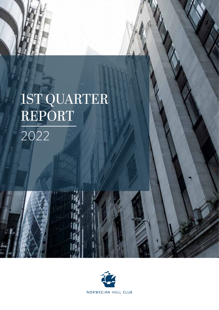

# 1ST QUARTER REPORT 2022

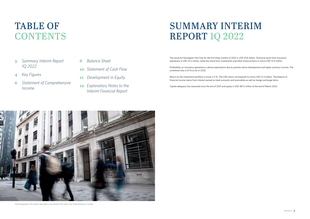- **3** *Summary Interim Report 1Q 2022*
- **4** *Key Figures*
- **6** *Statement of Comprehensive Income*
- **8** *Balance Sheet*
- **10** *Statement of Cash Flow*
- **11** *Development in Equity*
- **12** *Explanatory Notes to the Interim Financial Report*

## TABLE OF **CONTENTS**

## SUMMARY INTERIM REPORT 1Q 2022

The result for Norwegian Hull Club for the first three months of 2022 is USD 10.8 million. Technical result from insurance operations is USD 23.2 million, while the result from investments and other financial items is minus USD 12.4 million.

Profitability on insurance operations is above expectations due to positive claims development and higher premium income. The combined ratio is 61 % so far in 2022.

Return on the investment portfolio is minus 2.3 %. The USD return corresponds to minus USD 12.3 million. The balance of financial income stems from interest earned on bank accounts and receivables as well as foreign exchange items.

Capital adequacy has improved since the end of 2021 and equity is USD 381.3 million at the end of March 2022.



*The photographs in this report were taken in and around The Club's Lime Street premises in London.*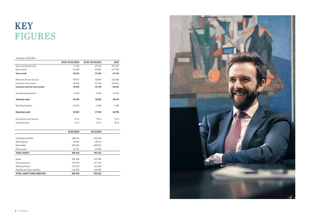#### *All figures in USD 000's*

|                                  | 01.01.-31.03.2022 | 01.01.-31.03.2021 | 2021      |
|----------------------------------|-------------------|-------------------|-----------|
| Gross earned premiums            | 71 156            | 69 1 25           | 267 642   |
| Gross claims                     | $-31642$          | $-35681$          | $-175700$ |
| <b>Gross result</b>              | 39 514            | 33 444            | 91 942    |
| Premiums for own account         | 59 871            | 55 887            | 222 068   |
| Claims for own account           | $-30828$          | $-32738$          | $-159067$ |
| Insurance result for own account | 29 044            | 23 149            | 63 001    |
| Net operating expenses           | $-5848$           | $-4566$           | $-23494$  |
| <b>Technical result</b>          | 23 196            | 18 5 83           | 39 507    |
| Net financial items              | $-12373$          | -1 059            | 7489      |
| <b>Operating result</b>          | 10823             | 17 524            | 46 996    |
| Loss ratio for own account       | 51 %              | 59 %              | 72 %      |
| Combined ratio                   | 61 %              | 67 %              | 82 %      |
|                                  | 31.03.2022        | 31.12.2021        |           |
| Investment portfolio             | 538 041           | 552 664           |           |
| Bank deposits                    | 49 002            | 38 012            |           |
| Receivables                      | 285 320           | 289 901           |           |
| Other assets                     | 24 171            | 24 585            |           |
| <b>TOTAL ASSETS</b>              | 896 535           | 905 162           |           |
| Equity                           | 381 308           | 374 396           |           |
| Claims provision                 | 227 879           | 247 704           |           |
| Other provisions                 | 170 752           | 162 180           |           |
| Payables and other liabilities   | 116 595           | 120 882           |           |
| TOTAL EQUITY AND LIABILITIES     | 896 535           | 905 162           |           |



## KEY FIGURES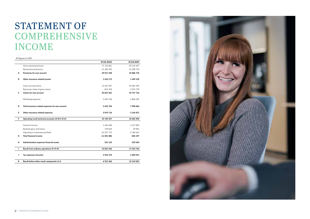#### *All figures in USD*

|    |                                                  | 31.03.2022  | 31.03.2021    |
|----|--------------------------------------------------|-------------|---------------|
|    | Gross earned premiums                            | 71 155 861  | 69 125 457    |
|    | Reinsurance premiums                             | $-11284402$ | -13 238 734   |
| Α  | Premiums for own account                         | 59 871 458  | 55 886 723    |
| B  | Other insurance related income                   | 1652173     | 1 449 159     |
|    | Gross accrued claims                             | 31 641 927  | 35 681 445    |
|    | Reinsurers share of gross claims                 | $-814326$   | $-2943729$    |
| C  | <b>Claims for own account</b>                    | 30 827 601  | 32 737 716    |
|    | Marketing expenses                               | 3 625 756   | 2 868 335     |
| D  | Total insurance related expenses for own account | 3 625 756   | 7 998 066     |
| Е  | Other insurance related expenses                 | 3 874 716   | 3 146 871     |
| F. | Operating result technical accounts (A+B-C-D-E)  | 23 195 557  | 18 582 960    |
|    | Financial income                                 | 2 446 286   | 3 2 3 7 8 5 5 |
|    | Realised gains and losses                        | 739 603     | 39 991        |
|    | Adjustment investment portfolio                  | $-15027775$ | -3 784 042    |
| G  | <b>Total financial income</b>                    | -11 841 886 | -506 197      |
| н  | Administration expenses financial assets         | 531 135     | 553 000       |
| T  | Result from ordinary operations (F+G-H)          | 10 822 536  | 17 523 763    |
| J  | Tax expenses (income)                            | 3 910 270   | 4 380 941     |
| K  | Result before other result components (I-J)      | 6 912 266   | 13 142 822    |



### STATEMENT OF **COMPREHENSIVE** INCOME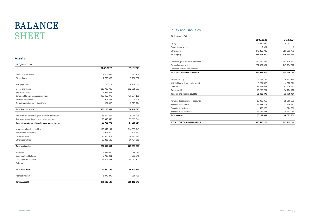#### Assets

#### *All figures in USD*

### BALANCE **SHEET**

|                                                    | 31.03.2022  | 31.12.2021  |
|----------------------------------------------------|-------------|-------------|
|                                                    |             |             |
| Shares in subsidiaries                             | 3 609 044   | 3 432 104   |
| Other shares                                       | 7738052     | 7738052     |
| Mortgage loans                                     | 5 720 177   | 6 158 067   |
| Stocks and shares                                  | 113 700 703 | 112 288 883 |
| Syndicated loans                                   | 1988 631    |             |
| Bonds and foreign exchange contracts               | 420 465 098 | 436 574 158 |
| Financial derivatives                              | 901 873     | 1 220 978   |
| Bank deposits investment portfolio                 | 984 805     | 2 575 924   |
| <b>Total financial assets</b>                      | 555 108 381 | 570 168 873 |
|                                                    |             |             |
| Reinsured proportion of gross premium provisions   | 31 422 424  | 29 240 468  |
| Reinsured proportion of gross claims provision     | 23 340 548  | 35 609 546  |
| Total reinsured proportion of insurance provisions | 55 762 972  | 64 850 014  |
| Insurance related receivables                      | 173 442 194 | 164 833 941 |
| Reinsurance receivables                            | 9 9 18 0 00 | 3 874 862   |
| Disbursements                                      | 25 810 977  | 36 917 927  |
| Other receivables                                  | 20 386 183  | 19 424 668  |
| <b>Total receivables</b>                           | 229 557 354 | 225 051 398 |
| Properties                                         | 2 089 030   | 2 089 030   |
| Equipment and fixtures                             | 3 938 821   | 4 003 946   |
| Cash and bank deposits                             | 49 002 298  | 38 012 302  |
| Deferred tax                                       |             |             |
| <b>Total other assets</b>                          | 55 030 149  | 44 105 278  |
| Accrued interest                                   | 1 076 272   | 986 480     |
| <b>TOTAL ASSETS</b>                                | 896 535 128 | 905 162 043 |

### Equity and Liabilities

| All figures in USD                         |               |             |
|--------------------------------------------|---------------|-------------|
|                                            | 31.03.2022    | 31.12.2021  |
| Equity                                     | 8 042 072     | 8 042 072   |
| Guarantee provision                        | 2 0 8 4       | C           |
| Other equity                               | 373 263 745   | 366 351 479 |
| <b>Total equity</b>                        | 381 307 900   | 374 395 634 |
| Unearned gross premium provision           | 170 752 424   | 162 179 692 |
| Gross claims provision                     | 227 879 451   | 247 704 327 |
| Unearned commission provision              | 0             | C           |
| Total gross insurance provisions           | 398 631 875   | 409 884 019 |
| Pension liability                          | 4 251 799     | 4 251 799   |
| Withheld payroll tax, social security etc. | 5 2 5 4 8 5 5 | 4 5 18 3 26 |
| Deferred tax                               | 36 698 067    | 47 905 911  |
| Taxes payable                              | 10 208 751    | 16 114 417  |
| Total tax and pension payable              | 56 413 472    | 72 790 454  |
| Payables direct insurance accounts         | 15 013 050    | 15 069 829  |
| Payables reinsurance                       | 17 058 315    | 17 779 957  |
| Financial derivitives                      | 385 928       | 324 696     |
| Payables other accounts                    | 27 724 588    | 14 917 454  |
| <b>Total payables</b>                      | 60 181 881    | 48 091 936  |
| TOTAL EQUITY AND LIABILITIES               | 896 535 128   | 905 162 044 |

|                                            | 31.03.2022    | 31.12.2021  |
|--------------------------------------------|---------------|-------------|
| Equity                                     | 8 042 072     | 8 042 072   |
| Guarantee provision                        | 2 0 8 4       | $\Omega$    |
| Other equity                               | 373 263 745   | 366 351 479 |
| <b>Total equity</b>                        | 381 307 900   | 374 395 634 |
|                                            |               |             |
| Unearned gross premium provision           | 170 752 424   | 162 179 692 |
| Gross claims provision                     | 227 879 451   | 247 704 327 |
| Unearned commission provision              | $\mathbf 0$   | 0           |
| Total gross insurance provisions           | 398 631 875   | 409 884 019 |
|                                            |               |             |
| Pension liability                          | 4 251 799     | 4 251 799   |
| Withheld payroll tax, social security etc. | 5 2 5 4 8 5 5 | 4 5 18 3 26 |
| Deferred tax                               | 36 698 067    | 47 905 911  |
| Taxes payable                              | 10 208 751    | 16 114 417  |
| Total tax and pension payable              | 56 413 472    | 72 790 454  |
|                                            |               |             |
| Payables direct insurance accounts         | 15 013 050    | 15 069 829  |
| Payables reinsurance                       | 17 058 315    | 17 779 957  |
| <b>Financial derivitives</b>               | 385 928       | 324 696     |
| Payables other accounts                    | 27 724 588    | 14 917 454  |
| Total payables                             | 60 181 881    | 48 091 936  |
| TOTAL EQUITY AND LIABILITIES               | 896 535 128   | 905 162 044 |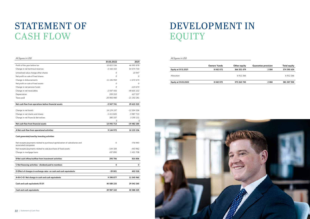| Other equity | <b>Guarantee provision</b> | <b>Total equity</b> |
|--------------|----------------------------|---------------------|
| 366 351 479  | 2084                       | 374 395 634         |
| 6912266      |                            | 6912266             |
| 373 263 745  | 2084                       | 381 307 900         |

#### *All figures in USD*

|                                                                                                      | 31.03.2022                | 2021                    |
|------------------------------------------------------------------------------------------------------|---------------------------|-------------------------|
| Profit of the year before tax                                                                        | 10 822 536                | 46 995 878              |
| Change in net technical reserves                                                                     | $-2$ 165 102              | 54 574 733              |
| Unrealised value change other shares                                                                 | 0                         | 10 947                  |
| Net profit on sale of fixed shares                                                                   | 0                         | $\Omega$                |
| Change in disbursements                                                                              | 11 106 950                | $-1672673$              |
| Net profit on sale of fixed assets                                                                   | 0                         | $\Omega$                |
| Change in net pension funds                                                                          | $\Omega$                  | $-123674$               |
| Change in net receivables                                                                            | $-2937456$                | -49 605 152             |
| Depreciation                                                                                         | 209 310                   | 627 537                 |
| Taxes paid                                                                                           | -20 983 980               | -21 192 281             |
| Net cash flow from operations before financial assets                                                | -3 947 741                | 29 615 315              |
|                                                                                                      |                           |                         |
| Change in net bonds                                                                                  | 14 124 197                | -12 304 336             |
| Change in net stocks and shares                                                                      | $-1411820$                | $-3987713$              |
| Change in net financial derivatives                                                                  | 380 337                   | 3 190 131               |
| Net cash flow from financial assets                                                                  | $\mathbf 0$<br>13 092 713 | $\Omega$<br>-19 482 180 |
|                                                                                                      |                           |                         |
| A Net cash flow from operational activities                                                          | 9 144 972                 | 10 133 136              |
| Cash generated/used by investing activities                                                          |                           |                         |
| Net receipts/payments related to purchase/capitalization of subsidiaries and<br>associated companies | $\mathbf{O}$              | -176 940                |
| Net receipts/payments related to sale/purchase of fixed assets                                       | $-144$ 184                | $-443962$               |
| Change in mortgage loans                                                                             | 437 890                   | 1 431 708               |
| B Net cash inflow/outflow from investment activities                                                 | 293 706                   | 810 806                 |
|                                                                                                      |                           |                         |
| C Net financing activities - dividend paid to members                                                | 0                         | 0                       |
| D Effect of changes in exchange rates on cash and cash equivalents                                   | $-39801$                  | 602 018                 |
| A+B+C+D Net change in cash and cash equivalents                                                      | 9 398 877                 | 11 545 960              |
| Cash and cash equivalents 01.01                                                                      | 40 588 225                | 29 042 265              |
|                                                                                                      |                           |                         |

### $O$ wners' funds **Equity at 31.12.2021** 8 042 072 Allocation 6 912 266 6 912 266 6 912 266 6 912 266 6 912 266 6 912 266 6 912 266 6 912 266 6 912 266 6 912 266 **Equity at 31.03.2022** 8 042 072

## STATEMENT OF CASH FLOW

## DEVELOPMENT IN EQUITY

*All figures in USD*

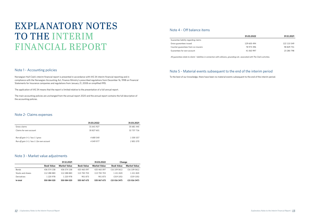#### Note 1 - Accounting policies

Norwegian Hull Club's interim financial report is presented in accordance with IAS 34 interim financial reporting and in compliance with the Norwegian Accounting Act, Finance Ministry's prescribed regulations from December 16, 1998 on Financial Statements for Insurance companies and regulations from January 21, 2008 on simplified IFRS.

The application of IAS 34 means that the report is limited relative to the presentation of a full annual report.

The main accounting policies are unchanged from the annual report 2020 and the annual report contains the full description of the accounting policies.

#### Note 2- Claims expenses

Guarantee liability regarding claims Gross guarantees issued 12<sup>0</sup> Counter-guarantees from co-insurers 7 Guarantees for own account 44

|                                              | 31.03.2022 | 31.03.2021 |
|----------------------------------------------|------------|------------|
| Gross claims                                 | 31 641 927 | 35 681 445 |
| Claims for own account                       | 30 827 601 | 32 737 716 |
| Run off gain $(+)$ / loss (-) gross          | 4 680 540  | 1 500 357  |
| Run off gain $(+)/$ loss (-) for own account | 4 049 977  | 2801070    |

#### Note 3 - Market value adjustments

|                   |                   | 31.12.2021   |                   | 31.03.2022   | Change            |              |
|-------------------|-------------------|--------------|-------------------|--------------|-------------------|--------------|
|                   | <b>Book Value</b> | Market Value | <b>Book Value</b> | Market Value | <b>Book Value</b> | Market Value |
| Bonds             | 436 574 158       | 436 574 158  | 420 465 097       | 420 465 097  | (16109061)        | (16109061)   |
| Stocks and shares | 112 288 883       | 112 288 883  | 113 700 703       | 113 700 703  | 1411820           | 1411820      |
| Derivatives       | 1 220 978         | 1 220 978    | 901873            | 901873       | (319105)          | (319105)     |
| In total          | 550 084 020       | 550 084 020  | 535 067 673       | 535 067 673  | (15016347)        | (15016347)   |

### EXPLANATORY NOTES TO THE INTERIM FINANCIAL REPORT

#### Note 4 - Off balance items

**31.03.2022 31.12.2021**

| '9 600 494 | 122 110 549 |
|------------|-------------|
| '8 973 396 | 98 829 751  |
| 1 063 997  | 23 280 798  |

*All guarantees relate to clients` liabilities in connection with collisions, groundings etc. associated with The Club's activities.*

#### Note 5 - Material events subsequent to the end of the interim period

To the best of our knowledge, there have been no material events subsequent to the end of the interim period.